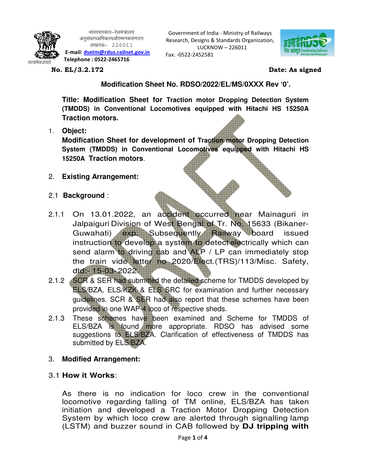

भारतसरकार—रेलमंत्रालय अनुसंधानअभिकल्पऔरमानकसंगठन लखनऊ $-226011$  **E-mail: dsetm@rdso.railnet.gov.in Telephone : 0522-2465716** 

Government of India - Ministry of Railways Research, Designs & Standards Organization, LUCKNOW – 226011

Fax: -0522-2452581



**No. EL/3.2.172 Date: As signed** 

 **Modification Sheet No. RDSO/2022/EL/MS/0XXX Rev '0'.** 

**Title: Modification Sheet for Traction motor Dropping Detection System (TMDDS) in Conventional Locomotives equipped with Hitachi HS 15250A Traction motors.** 

1. **Object:** 

**Modification Sheet for development of Traction motor Dropping Detection System (TMDDS) in Conventional Locomotives equipped with Hitachi HS 15250A Traction motors**.

- 2. **Existing Arrangement:**
- 2.1 **Background** :
- 2.1.1 On 13.01.2022, an accident occurred near Mainaguri in Jalpaiguri Division of West Bengal of Tr. No. 15633 (Bikaner-Guwahati) exp. Subsequently Railway board issued instruction to develop a system to detect electrically which can send alarm to driving cab and ALP / LP can immediately stop the train vide letter no 2020/Elect.(TRS)/113/Misc. Safety, dtd:- 15-03- 2022.
- 2.1.2 SCR & SER had submitted the detailed scheme for TMDDS developed by ELS/BZA, ELS/KZK & ELS SRC for examination and further necessary guidelines. SCR & SER had also report that these schemes have been provided in one WAP-4 loco of respective sheds.
- 2.1.3 These schemes have been examined and Scheme for TMDDS of ELS/BZA is found more appropriate. RDSO has advised some suggestions to ELS/BZA. Clarification of effectiveness of TMDDS has submitted by ELS/BZA.
- 3. **Modified Arrangement:**
- 3.1 **How it Works**:

As there is no indication for loco crew in the conventional locomotive regarding falling of TM online, ELS/BZA has taken initiation and developed a Traction Motor Dropping Detection System by which loco crew are alerted through signalling lamp (LSTM) and buzzer sound in CAB followed by **DJ tripping with**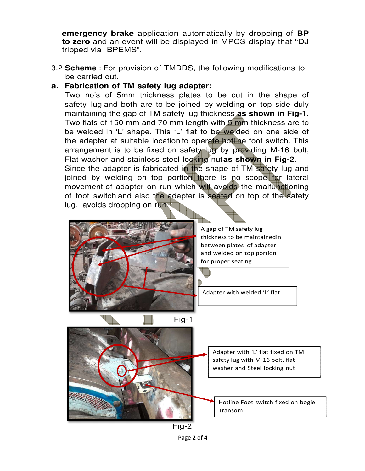**emergency brake** application automatically by dropping of **BP to zero** and an event will be displayed in MPCS display that "DJ tripped via BPEMS".

3.2 **Scheme** : For provision of TMDDS, the following modifications to be carried out.

#### **a. Fabrication of TM safety lug adapter:**

Two no's of 5mm thickness plates to be cut in the shape of safety lug and both are to be joined by welding on top side duly maintaining the gap of TM safety lug thickness **as shown in Fig-1**. Two flats of 150 mm and 70 mm length with 5 mm thickness are to be welded in 'L' shape. This 'L' flat to be welded on one side of the adapter at suitable location to operate hotline foot switch. This arrangement is to be fixed on safety lug by providing M-16 bolt, Flat washer and stainless steel locking nut **as shown in Fig-2**. Since the adapter is fabricated in the shape of TM safety lug and joined by welding on top portion there is no scope for lateral movement of adapter on run which will avoids the malfunctioning of foot switch and also the adapter is seated on top of the safety lug, avoids dropping on run.



A gap of TM safety lug thickness to be maintained in between plates of adapter and welded on top portion for proper seating

Adapter with welded 'L' flat

Adapter with 'L' flat fixed on TM safety lug with M-16 bolt, flat washer and Steel locking nut

> Hotline Foot switch fixed on bogie Transom

Fig-2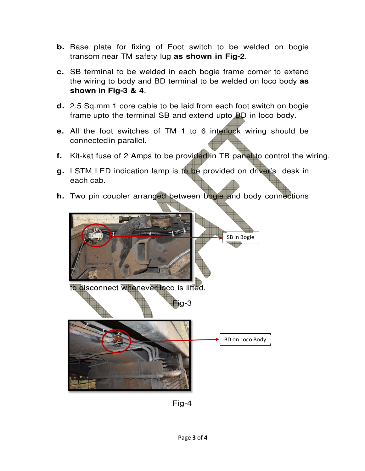- **b.** Base plate for fixing of Foot switch to be welded on bogie transom near TM safety lug **as shown in Fig-2**.
- **c.** SB terminal to be welded in each bogie frame corner to extend the wiring to body and BD terminal to be welded on loco body **as shown in Fig-3 & 4**.
- **d.** 2.5 Sq.mm 1 core cable to be laid from each foot switch on bogie frame upto the terminal SB and extend upto BD in loco body.
- **e.** All the foot switches of TM 1 to 6 interlock wiring should be connected in parallel.
- **f.** Kit-kat fuse of 2 Amps to be provided in TB panel to control the wiring.
- **g.** LSTM LED indication lamp is to be provided on driver's desk in each cab.
- **h.** Two pin coupler arranged between bogie and body connections



Fig-4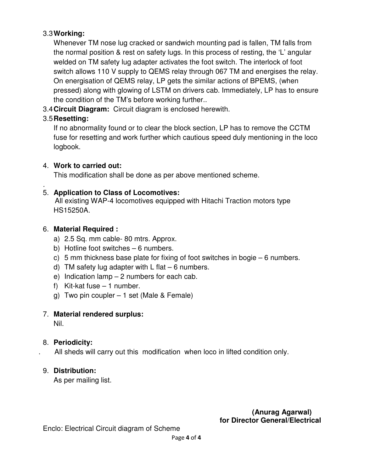#### 3.3 **Working:**

Whenever TM nose lug cracked or sandwich mounting pad is fallen, TM falls from the normal position & rest on safety lugs. In this process of resting, the 'L' angular welded on TM safety lug adapter activates the foot switch. The interlock of foot switch allows 110 V supply to QEMS relay through 067 TM and energises the relay. On energisation of QEMS relay, LP gets the similar actions of BPEMS, (when pressed) along with glowing of LSTM on drivers cab. Immediately, LP has to ensure the condition of the TM's before working further..

3.4 **Circuit Diagram:** Circuit diagram is enclosed herewith.

## 3.5 **Resetting:**

.

If no abnormality found or to clear the block section, LP has to remove the CCTM fuse for resetting and work further which cautious speed duly mentioning in the loco logbook.

## 4. **Work to carried out:**

This modification shall be done as per above mentioned scheme.

## 5. **Application to Class of Locomotives:**

 All existing WAP-4 locomotives equipped with Hitachi Traction motors type HS15250A.

## 6. **Material Required :**

- a) 2.5 Sq. mm cable- 80 mtrs. Approx.
- b) Hotline foot switches 6 numbers.
- c) 5 mm thickness base plate for fixing of foot switches in bogie 6 numbers.
- d) TM safety lug adapter with  $L$  flat  $-6$  numbers.
- e) Indication lamp 2 numbers for each cab.
- f) Kit-kat fuse 1 number.
- g) Two pin coupler 1 set (Male & Female)

# 7. **Material rendered surplus:**

Nil.

# 8. **Periodicity:**

. All sheds will carry out this modification when loco in lifted condition only.

# 9. **Distribution:**

As per mailing list.

## **(Anurag Agarwal) for Director General/Electrical**

Enclo: Electrical Circuit diagram of Scheme